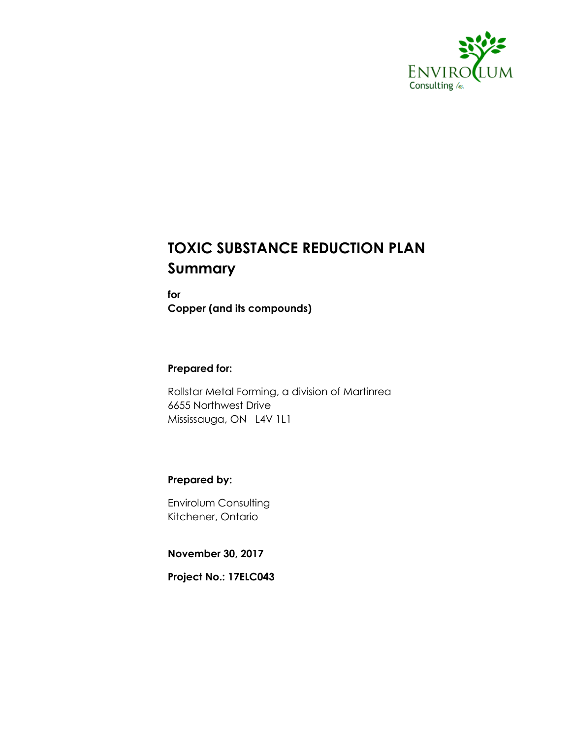

## **TOXIC SUBSTANCE REDUCTION PLAN Summary**

**for Copper (and its compounds)**

#### **Prepared for:**

Rollstar Metal Forming, a division of Martinrea 6655 Northwest Drive Mississauga, ON L4V 1L1

#### **Prepared by:**

Envirolum Consulting Kitchener, Ontario

**November 30, 2017**

**Project No.: 17ELC043**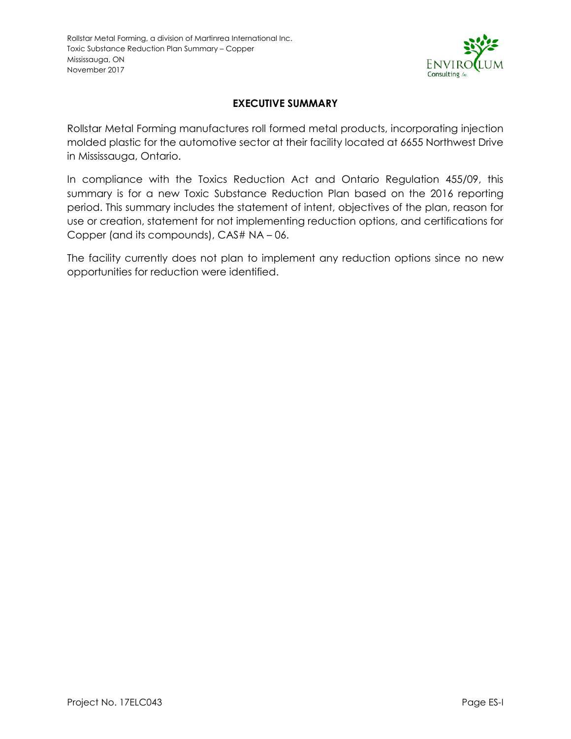

#### **EXECUTIVE SUMMARY**

<span id="page-1-0"></span>Rollstar Metal Forming manufactures roll formed metal products, incorporating injection molded plastic for the automotive sector at their facility located at 6655 Northwest Drive in Mississauga, Ontario.

In compliance with the Toxics Reduction Act and Ontario Regulation 455/09, this summary is for a new Toxic Substance Reduction Plan based on the 2016 reporting period. This summary includes the statement of intent, objectives of the plan, reason for use or creation, statement for not implementing reduction options, and certifications for Copper (and its compounds), CAS# NA – 06.

The facility currently does not plan to implement any reduction options since no new opportunities for reduction were identified.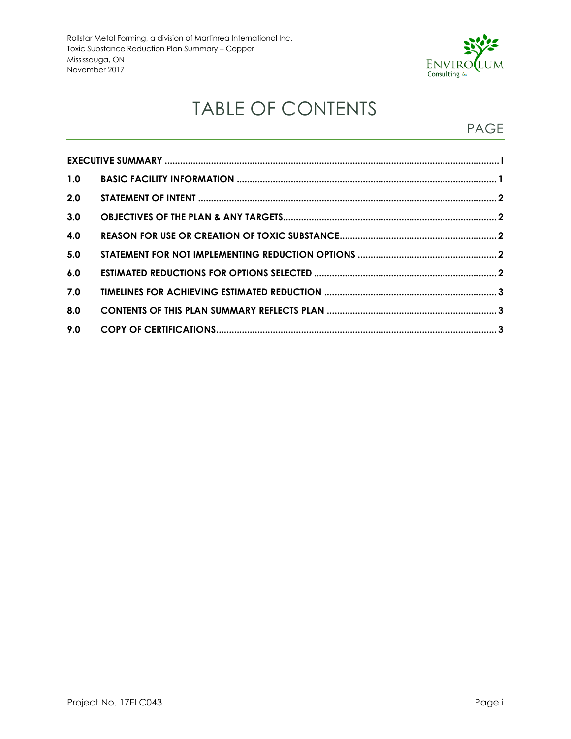

# TABLE OF CONTENTS

### PAGE

| 1.0 |  |  |  |  |
|-----|--|--|--|--|
| 2.0 |  |  |  |  |
| 3.0 |  |  |  |  |
| 4.0 |  |  |  |  |
| 5.0 |  |  |  |  |
| 6.0 |  |  |  |  |
| 7.0 |  |  |  |  |
| 8.0 |  |  |  |  |
| 9.0 |  |  |  |  |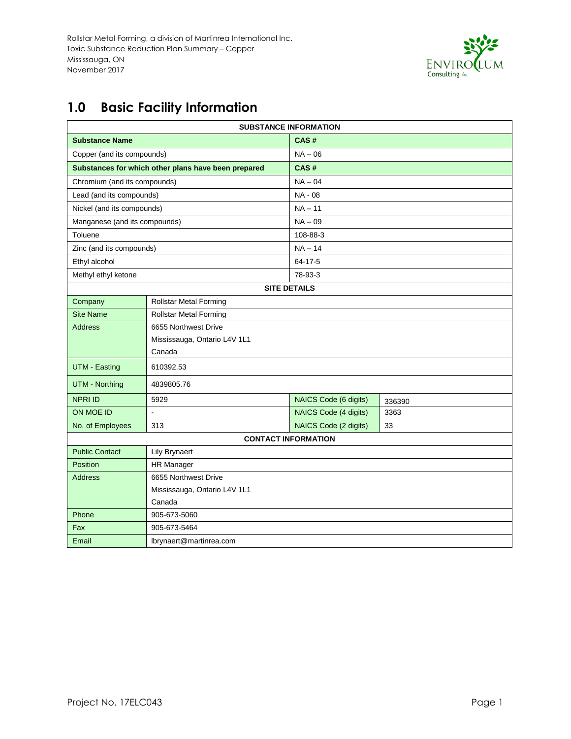

## <span id="page-3-0"></span>**1.0 Basic Facility Information**

| <b>SUBSTANCE INFORMATION</b>                      |                                                     |                       |        |  |  |
|---------------------------------------------------|-----------------------------------------------------|-----------------------|--------|--|--|
| <b>Substance Name</b>                             |                                                     | CAS#                  |        |  |  |
| Copper (and its compounds)                        |                                                     | $NA - 06$             |        |  |  |
|                                                   | Substances for which other plans have been prepared | CAS#                  |        |  |  |
| Chromium (and its compounds)                      |                                                     | $NA - 04$             |        |  |  |
| Lead (and its compounds)                          |                                                     | NA - 08               |        |  |  |
| Nickel (and its compounds)                        |                                                     | $NA - 11$             |        |  |  |
| Manganese (and its compounds)                     |                                                     | $NA - 09$             |        |  |  |
| Toluene                                           |                                                     | 108-88-3              |        |  |  |
| Zinc (and its compounds)                          |                                                     | $NA - 14$             |        |  |  |
| Ethyl alcohol                                     |                                                     | 64-17-5               |        |  |  |
| Methyl ethyl ketone                               |                                                     | 78-93-3               |        |  |  |
|                                                   |                                                     | <b>SITE DETAILS</b>   |        |  |  |
| Company                                           | <b>Rollstar Metal Forming</b>                       |                       |        |  |  |
| <b>Site Name</b><br><b>Rollstar Metal Forming</b> |                                                     |                       |        |  |  |
| <b>Address</b>                                    | 6655 Northwest Drive                                |                       |        |  |  |
|                                                   | Mississauga, Ontario L4V 1L1                        |                       |        |  |  |
|                                                   | Canada                                              |                       |        |  |  |
| <b>UTM - Easting</b><br>610392.53                 |                                                     |                       |        |  |  |
| <b>UTM - Northing</b>                             | 4839805.76                                          |                       |        |  |  |
| <b>NPRI ID</b>                                    | 5929                                                | NAICS Code (6 digits) | 336390 |  |  |
| ON MOE ID                                         | $\ddot{\phantom{a}}$                                | NAICS Code (4 digits) | 3363   |  |  |
| No. of Employees                                  | 313                                                 | NAICS Code (2 digits) | 33     |  |  |
| <b>CONTACT INFORMATION</b>                        |                                                     |                       |        |  |  |
| <b>Public Contact</b><br><b>Lily Brynaert</b>     |                                                     |                       |        |  |  |
| Position                                          | <b>HR Manager</b>                                   |                       |        |  |  |
| 6655 Northwest Drive<br><b>Address</b>            |                                                     |                       |        |  |  |
|                                                   | Mississauga, Ontario L4V 1L1                        |                       |        |  |  |
| Canada                                            |                                                     |                       |        |  |  |
| Phone                                             | 905-673-5060                                        |                       |        |  |  |
| 905-673-5464<br>Fax                               |                                                     |                       |        |  |  |
| Email                                             | lbrynaert@martinrea.com                             |                       |        |  |  |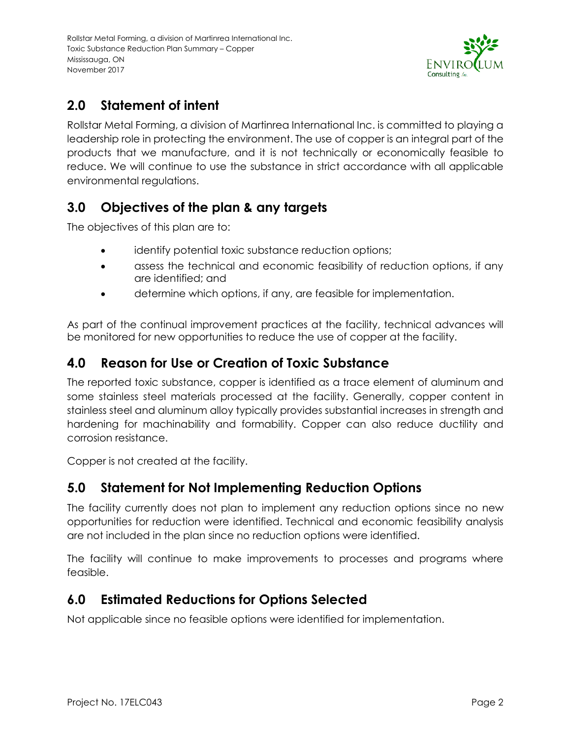

#### <span id="page-4-0"></span>**2.0 Statement of intent**

<span id="page-4-1"></span>Rollstar Metal Forming, a division of Martinrea International Inc. is committed to playing a leadership role in protecting the environment. The use of copper is an integral part of the products that we manufacture, and it is not technically or economically feasible to reduce. We will continue to use the substance in strict accordance with all applicable environmental regulations.

#### **3.0 Objectives of the plan & any targets**

<span id="page-4-2"></span>The objectives of this plan are to:

- identify potential toxic substance reduction options;
- assess the technical and economic feasibility of reduction options, if any are identified; and
- determine which options, if any, are feasible for implementation.

As part of the continual improvement practices at the facility, technical advances will be monitored for new opportunities to reduce the use of copper at the facility.

#### **4.0 Reason for Use or Creation of Toxic Substance**

The reported toxic substance, copper is identified as a trace element of aluminum and some stainless steel materials processed at the facility. Generally, copper content in stainless steel and aluminum alloy typically provides substantial increases in strength and hardening for machinability and formability. Copper can also reduce ductility and corrosion resistance.

Copper is not created at the facility.

#### <span id="page-4-3"></span>**5.0 Statement for Not Implementing Reduction Options**

<span id="page-4-4"></span>The facility currently does not plan to implement any reduction options since no new opportunities for reduction were identified. Technical and economic feasibility analysis are not included in the plan since no reduction options were identified.

The facility will continue to make improvements to processes and programs where feasible.

#### **6.0 Estimated Reductions for Options Selected**

Not applicable since no feasible options were identified for implementation.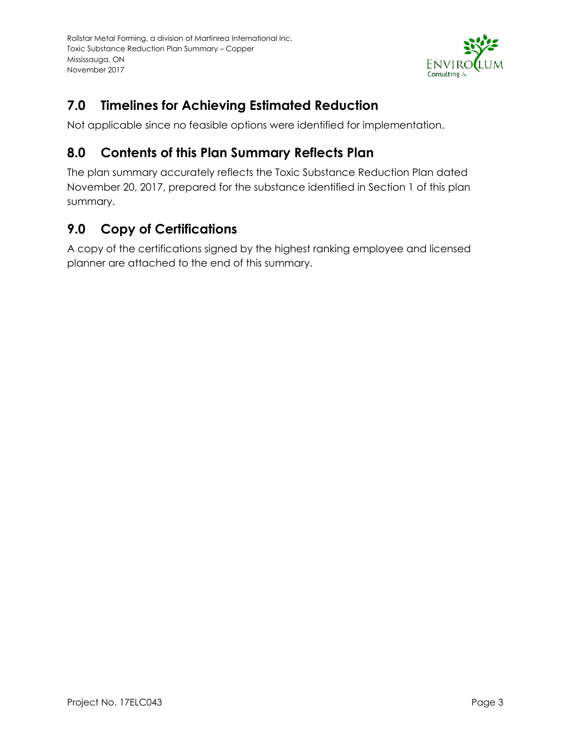

### <span id="page-5-0"></span>**7.0 Timelines for Achieving Estimated Reduction**

Not applicable since no feasible options were identified for implementation.

#### <span id="page-5-1"></span>**8.0 Contents of this Plan Summary Reflects Plan**

The plan summary accurately reflects the Toxic Substance Reduction Plan dated November 20, 2017, prepared for the substance identified in Section 1 of this plan summary.

#### <span id="page-5-2"></span>**9.0 Copy of Certifications**

A copy of the certifications signed by the highest ranking employee and licensed planner are attached to the end of this summary.